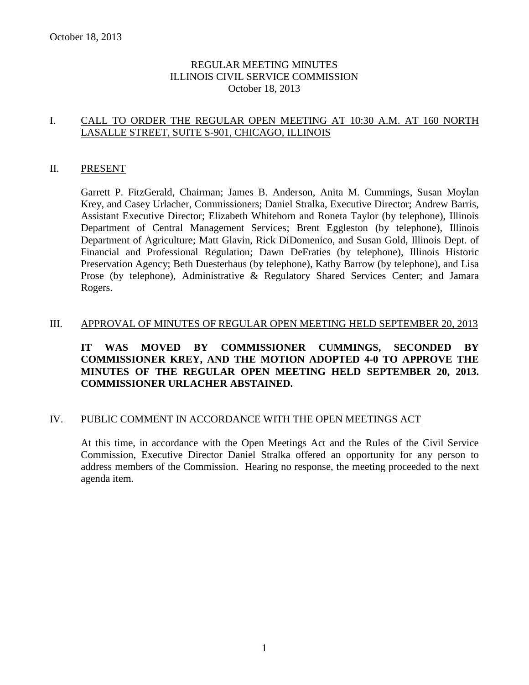# REGULAR MEETING MINUTES ILLINOIS CIVIL SERVICE COMMISSION October 18, 2013

# I. CALL TO ORDER THE REGULAR OPEN MEETING AT 10:30 A.M. AT 160 NORTH LASALLE STREET, SUITE S-901, CHICAGO, ILLINOIS

#### II. PRESENT

Garrett P. FitzGerald, Chairman; James B. Anderson, Anita M. Cummings, Susan Moylan Krey, and Casey Urlacher, Commissioners; Daniel Stralka, Executive Director; Andrew Barris, Assistant Executive Director; Elizabeth Whitehorn and Roneta Taylor (by telephone), Illinois Department of Central Management Services; Brent Eggleston (by telephone), Illinois Department of Agriculture; Matt Glavin, Rick DiDomenico, and Susan Gold, Illinois Dept. of Financial and Professional Regulation; Dawn DeFraties (by telephone), Illinois Historic Preservation Agency; Beth Duesterhaus (by telephone), Kathy Barrow (by telephone), and Lisa Prose (by telephone), Administrative & Regulatory Shared Services Center; and Jamara Rogers.

### III. APPROVAL OF MINUTES OF REGULAR OPEN MEETING HELD SEPTEMBER 20, 2013

# **IT WAS MOVED BY COMMISSIONER CUMMINGS, SECONDED BY COMMISSIONER KREY, AND THE MOTION ADOPTED 4-0 TO APPROVE THE MINUTES OF THE REGULAR OPEN MEETING HELD SEPTEMBER 20, 2013. COMMISSIONER URLACHER ABSTAINED.**

### IV. PUBLIC COMMENT IN ACCORDANCE WITH THE OPEN MEETINGS ACT

At this time, in accordance with the Open Meetings Act and the Rules of the Civil Service Commission, Executive Director Daniel Stralka offered an opportunity for any person to address members of the Commission. Hearing no response, the meeting proceeded to the next agenda item.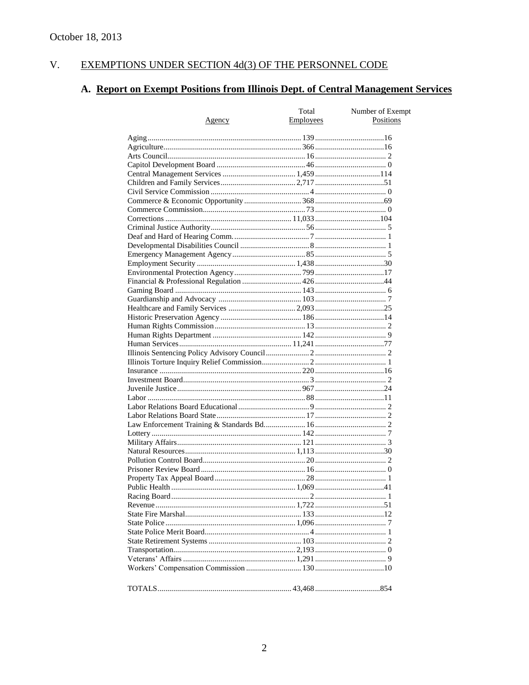#### $V<sub>1</sub>$ EXEMPTIONS UNDER SECTION 4d(3) OF THE PERSONNEL CODE

# A. Report on Exempt Positions from Illinois Dept. of Central Management Services

|               | Total            | Number of Exempt |
|---------------|------------------|------------------|
| <u>Agency</u> | <b>Employees</b> | Positions        |
|               |                  |                  |
|               |                  |                  |
|               |                  |                  |
|               |                  |                  |
|               |                  |                  |
|               |                  |                  |
|               |                  |                  |
|               |                  |                  |
|               |                  |                  |
|               |                  |                  |
|               |                  |                  |
|               |                  |                  |
|               |                  |                  |
|               |                  |                  |
|               |                  |                  |
|               |                  |                  |
|               |                  |                  |
|               |                  |                  |
|               |                  |                  |
|               |                  |                  |
|               |                  |                  |
|               |                  |                  |
|               |                  |                  |
|               |                  |                  |
|               |                  |                  |
|               |                  |                  |
|               |                  |                  |
|               |                  |                  |
|               |                  |                  |
|               |                  |                  |
|               |                  |                  |
|               |                  |                  |
|               |                  |                  |
|               |                  |                  |
|               |                  |                  |
|               |                  |                  |
|               |                  |                  |
|               |                  |                  |
|               |                  |                  |
|               |                  |                  |
|               |                  |                  |
|               |                  |                  |
|               |                  |                  |
|               |                  |                  |
|               |                  |                  |
|               |                  |                  |
|               |                  |                  |
|               |                  |                  |
|               |                  |                  |
|               |                  |                  |
|               |                  |                  |
|               |                  |                  |
|               |                  |                  |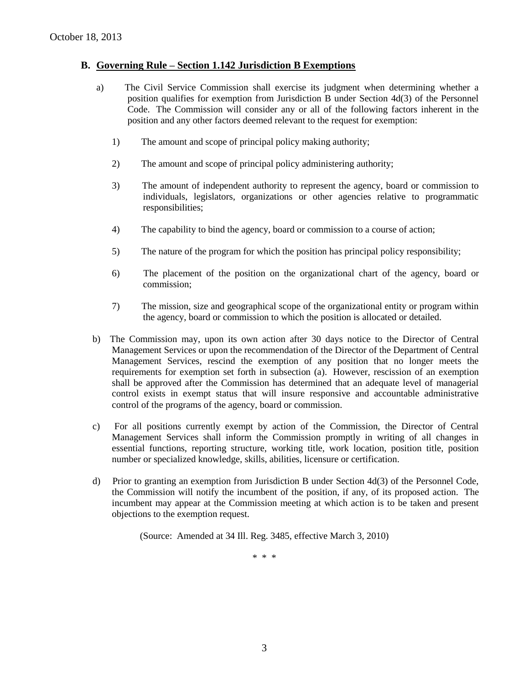### **B. Governing Rule – Section 1.142 Jurisdiction B Exemptions**

- a) The Civil Service Commission shall exercise its judgment when determining whether a position qualifies for exemption from Jurisdiction B under Section 4d(3) of the Personnel Code. The Commission will consider any or all of the following factors inherent in the position and any other factors deemed relevant to the request for exemption:
	- 1) The amount and scope of principal policy making authority;
	- 2) The amount and scope of principal policy administering authority;
	- 3) The amount of independent authority to represent the agency, board or commission to individuals, legislators, organizations or other agencies relative to programmatic responsibilities;
	- 4) The capability to bind the agency, board or commission to a course of action;
	- 5) The nature of the program for which the position has principal policy responsibility;
	- 6) The placement of the position on the organizational chart of the agency, board or commission;
	- 7) The mission, size and geographical scope of the organizational entity or program within the agency, board or commission to which the position is allocated or detailed.
- b) The Commission may, upon its own action after 30 days notice to the Director of Central Management Services or upon the recommendation of the Director of the Department of Central Management Services, rescind the exemption of any position that no longer meets the requirements for exemption set forth in subsection (a). However, rescission of an exemption shall be approved after the Commission has determined that an adequate level of managerial control exists in exempt status that will insure responsive and accountable administrative control of the programs of the agency, board or commission.
- c) For all positions currently exempt by action of the Commission, the Director of Central Management Services shall inform the Commission promptly in writing of all changes in essential functions, reporting structure, working title, work location, position title, position number or specialized knowledge, skills, abilities, licensure or certification.
- d) Prior to granting an exemption from Jurisdiction B under Section 4d(3) of the Personnel Code, the Commission will notify the incumbent of the position, if any, of its proposed action. The incumbent may appear at the Commission meeting at which action is to be taken and present objections to the exemption request.

(Source: Amended at 34 Ill. Reg. 3485, effective March 3, 2010)

\* \* \*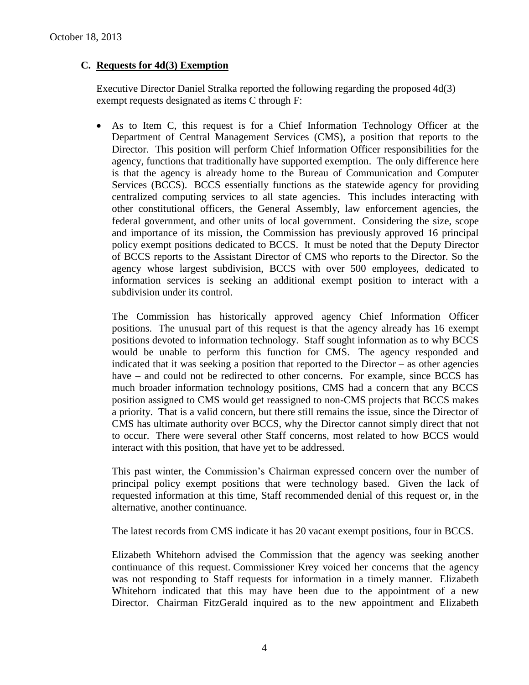# **C. Requests for 4d(3) Exemption**

Executive Director Daniel Stralka reported the following regarding the proposed 4d(3) exempt requests designated as items C through F:

 As to Item C, this request is for a Chief Information Technology Officer at the Department of Central Management Services (CMS), a position that reports to the Director. This position will perform Chief Information Officer responsibilities for the agency, functions that traditionally have supported exemption. The only difference here is that the agency is already home to the Bureau of Communication and Computer Services (BCCS). BCCS essentially functions as the statewide agency for providing centralized computing services to all state agencies. This includes interacting with other constitutional officers, the General Assembly, law enforcement agencies, the federal government, and other units of local government. Considering the size, scope and importance of its mission, the Commission has previously approved 16 principal policy exempt positions dedicated to BCCS. It must be noted that the Deputy Director of BCCS reports to the Assistant Director of CMS who reports to the Director. So the agency whose largest subdivision, BCCS with over 500 employees, dedicated to information services is seeking an additional exempt position to interact with a subdivision under its control.

The Commission has historically approved agency Chief Information Officer positions. The unusual part of this request is that the agency already has 16 exempt positions devoted to information technology. Staff sought information as to why BCCS would be unable to perform this function for CMS. The agency responded and indicated that it was seeking a position that reported to the Director – as other agencies have – and could not be redirected to other concerns. For example, since BCCS has much broader information technology positions, CMS had a concern that any BCCS position assigned to CMS would get reassigned to non-CMS projects that BCCS makes a priority. That is a valid concern, but there still remains the issue, since the Director of CMS has ultimate authority over BCCS, why the Director cannot simply direct that not to occur. There were several other Staff concerns, most related to how BCCS would interact with this position, that have yet to be addressed.

This past winter, the Commission's Chairman expressed concern over the number of principal policy exempt positions that were technology based. Given the lack of requested information at this time, Staff recommended denial of this request or, in the alternative, another continuance.

The latest records from CMS indicate it has 20 vacant exempt positions, four in BCCS.

Elizabeth Whitehorn advised the Commission that the agency was seeking another continuance of this request. Commissioner Krey voiced her concerns that the agency was not responding to Staff requests for information in a timely manner. Elizabeth Whitehorn indicated that this may have been due to the appointment of a new Director. Chairman FitzGerald inquired as to the new appointment and Elizabeth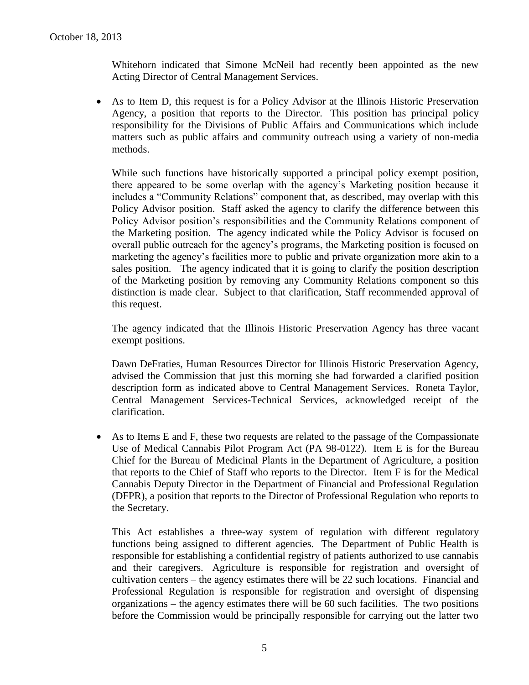Whitehorn indicated that Simone McNeil had recently been appointed as the new Acting Director of Central Management Services.

 As to Item D, this request is for a Policy Advisor at the Illinois Historic Preservation Agency, a position that reports to the Director. This position has principal policy responsibility for the Divisions of Public Affairs and Communications which include matters such as public affairs and community outreach using a variety of non-media methods.

While such functions have historically supported a principal policy exempt position, there appeared to be some overlap with the agency's Marketing position because it includes a "Community Relations" component that, as described, may overlap with this Policy Advisor position. Staff asked the agency to clarify the difference between this Policy Advisor position's responsibilities and the Community Relations component of the Marketing position. The agency indicated while the Policy Advisor is focused on overall public outreach for the agency's programs, the Marketing position is focused on marketing the agency's facilities more to public and private organization more akin to a sales position. The agency indicated that it is going to clarify the position description of the Marketing position by removing any Community Relations component so this distinction is made clear. Subject to that clarification, Staff recommended approval of this request.

The agency indicated that the Illinois Historic Preservation Agency has three vacant exempt positions.

Dawn DeFraties, Human Resources Director for Illinois Historic Preservation Agency, advised the Commission that just this morning she had forwarded a clarified position description form as indicated above to Central Management Services. Roneta Taylor, Central Management Services-Technical Services, acknowledged receipt of the clarification.

 As to Items E and F, these two requests are related to the passage of the Compassionate Use of Medical Cannabis Pilot Program Act (PA 98-0122). Item E is for the Bureau Chief for the Bureau of Medicinal Plants in the Department of Agriculture, a position that reports to the Chief of Staff who reports to the Director. Item F is for the Medical Cannabis Deputy Director in the Department of Financial and Professional Regulation (DFPR), a position that reports to the Director of Professional Regulation who reports to the Secretary.

This Act establishes a three-way system of regulation with different regulatory functions being assigned to different agencies. The Department of Public Health is responsible for establishing a confidential registry of patients authorized to use cannabis and their caregivers. Agriculture is responsible for registration and oversight of cultivation centers – the agency estimates there will be 22 such locations. Financial and Professional Regulation is responsible for registration and oversight of dispensing organizations – the agency estimates there will be 60 such facilities. The two positions before the Commission would be principally responsible for carrying out the latter two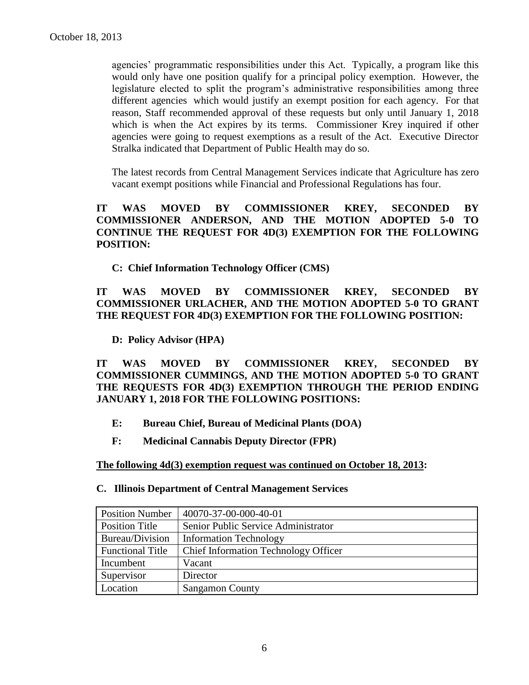agencies' programmatic responsibilities under this Act. Typically, a program like this would only have one position qualify for a principal policy exemption. However, the legislature elected to split the program's administrative responsibilities among three different agencies which would justify an exempt position for each agency. For that reason, Staff recommended approval of these requests but only until January 1, 2018 which is when the Act expires by its terms. Commissioner Krey inquired if other agencies were going to request exemptions as a result of the Act. Executive Director Stralka indicated that Department of Public Health may do so.

The latest records from Central Management Services indicate that Agriculture has zero vacant exempt positions while Financial and Professional Regulations has four.

# **IT WAS MOVED BY COMMISSIONER KREY, SECONDED BY COMMISSIONER ANDERSON, AND THE MOTION ADOPTED 5-0 TO CONTINUE THE REQUEST FOR 4D(3) EXEMPTION FOR THE FOLLOWING POSITION:**

**C: Chief Information Technology Officer (CMS)**

# **IT WAS MOVED BY COMMISSIONER KREY, SECONDED BY COMMISSIONER URLACHER, AND THE MOTION ADOPTED 5-0 TO GRANT THE REQUEST FOR 4D(3) EXEMPTION FOR THE FOLLOWING POSITION:**

**D: Policy Advisor (HPA)**

**IT WAS MOVED BY COMMISSIONER KREY, SECONDED BY COMMISSIONER CUMMINGS, AND THE MOTION ADOPTED 5-0 TO GRANT THE REQUESTS FOR 4D(3) EXEMPTION THROUGH THE PERIOD ENDING JANUARY 1, 2018 FOR THE FOLLOWING POSITIONS:**

- **E: Bureau Chief, Bureau of Medicinal Plants (DOA)**
- **F: Medicinal Cannabis Deputy Director (FPR)**

**The following 4d(3) exemption request was continued on October 18, 2013:**

### **C. Illinois Department of Central Management Services**

| <b>Position Number</b>  | 40070-37-00-000-40-01                |  |
|-------------------------|--------------------------------------|--|
| Position Title          | Senior Public Service Administrator  |  |
| Bureau/Division         | <b>Information Technology</b>        |  |
| <b>Functional Title</b> | Chief Information Technology Officer |  |
| Incumbent               | Vacant                               |  |
| Supervisor              | Director                             |  |
| Location                | <b>Sangamon County</b>               |  |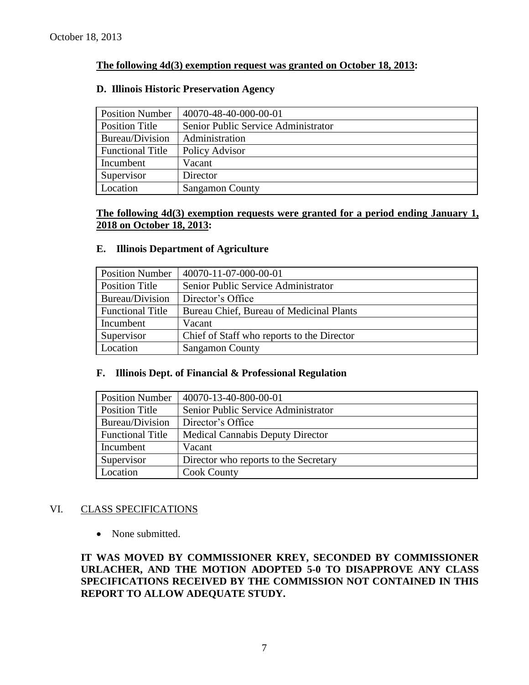# **The following 4d(3) exemption request was granted on October 18, 2013:**

### **D. Illinois Historic Preservation Agency**

| <b>Position Number</b>  | 40070-48-40-000-00-01               |  |
|-------------------------|-------------------------------------|--|
| <b>Position Title</b>   | Senior Public Service Administrator |  |
| Bureau/Division         | Administration                      |  |
| <b>Functional Title</b> | Policy Advisor                      |  |
| Incumbent               | Vacant                              |  |
| Supervisor              | Director                            |  |
| Location                | <b>Sangamon County</b>              |  |

# **The following 4d(3) exemption requests were granted for a period ending January 1, 2018 on October 18, 2013:**

#### **E. Illinois Department of Agriculture**

| <b>Position Number</b>  | 40070-11-07-000-00-01                      |
|-------------------------|--------------------------------------------|
| <b>Position Title</b>   | Senior Public Service Administrator        |
| Bureau/Division         | Director's Office                          |
| <b>Functional Title</b> | Bureau Chief, Bureau of Medicinal Plants   |
| Incumbent               | Vacant                                     |
| Supervisor              | Chief of Staff who reports to the Director |
| Location                | <b>Sangamon County</b>                     |

#### **F. Illinois Dept. of Financial & Professional Regulation**

| <b>Position Number</b>  | 40070-13-40-800-00-01                   |
|-------------------------|-----------------------------------------|
| <b>Position Title</b>   | Senior Public Service Administrator     |
| Bureau/Division         | Director's Office                       |
| <b>Functional Title</b> | <b>Medical Cannabis Deputy Director</b> |
| Incumbent               | Vacant                                  |
| Supervisor              | Director who reports to the Secretary   |
| Location                | <b>Cook County</b>                      |

### VI. CLASS SPECIFICATIONS

• None submitted.

**IT WAS MOVED BY COMMISSIONER KREY, SECONDED BY COMMISSIONER URLACHER, AND THE MOTION ADOPTED 5-0 TO DISAPPROVE ANY CLASS SPECIFICATIONS RECEIVED BY THE COMMISSION NOT CONTAINED IN THIS REPORT TO ALLOW ADEQUATE STUDY.**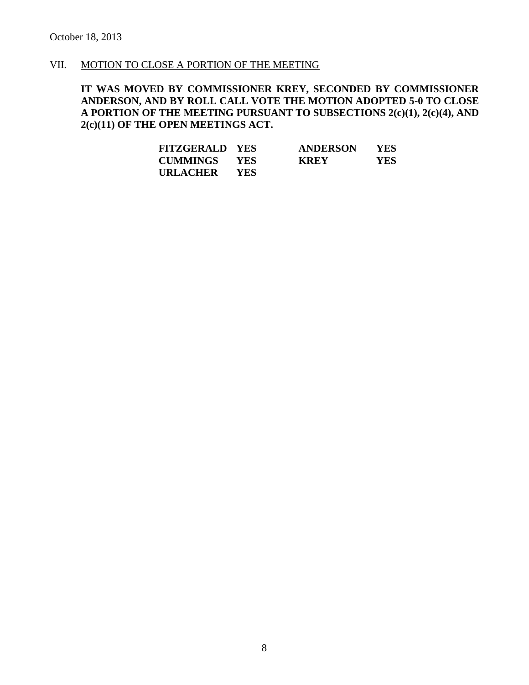# VII. MOTION TO CLOSE A PORTION OF THE MEETING

**IT WAS MOVED BY COMMISSIONER KREY, SECONDED BY COMMISSIONER ANDERSON, AND BY ROLL CALL VOTE THE MOTION ADOPTED 5-0 TO CLOSE A PORTION OF THE MEETING PURSUANT TO SUBSECTIONS 2(c)(1), 2(c)(4), AND 2(c)(11) OF THE OPEN MEETINGS ACT.**

| <b>FITZGERALD YES</b> |            | <b>ANDERSON</b> | <b>YES</b> |
|-----------------------|------------|-----------------|------------|
| <b>CUMMINGS YES</b>   |            | <b>KREY</b>     | <b>YES</b> |
| <b>URLACHER</b>       | <b>YES</b> |                 |            |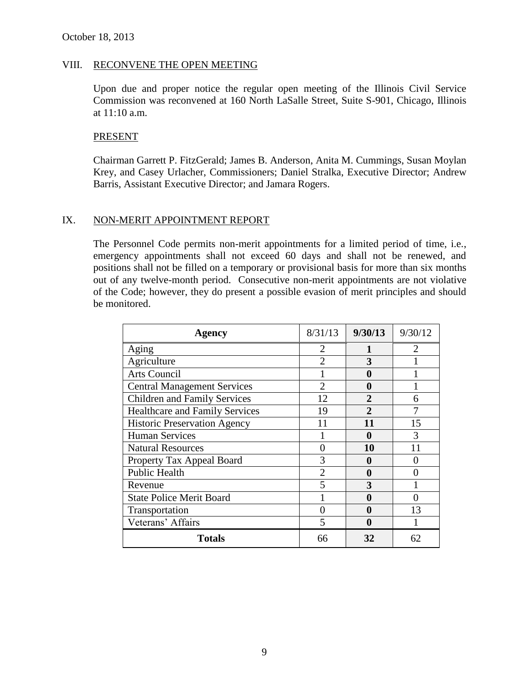#### VIII. RECONVENE THE OPEN MEETING

Upon due and proper notice the regular open meeting of the Illinois Civil Service Commission was reconvened at 160 North LaSalle Street, Suite S-901, Chicago, Illinois at 11:10 a.m.

#### PRESENT

Chairman Garrett P. FitzGerald; James B. Anderson, Anita M. Cummings, Susan Moylan Krey, and Casey Urlacher, Commissioners; Daniel Stralka, Executive Director; Andrew Barris, Assistant Executive Director; and Jamara Rogers.

#### IX. NON-MERIT APPOINTMENT REPORT

The Personnel Code permits non-merit appointments for a limited period of time, i.e., emergency appointments shall not exceed 60 days and shall not be renewed, and positions shall not be filled on a temporary or provisional basis for more than six months out of any twelve-month period. Consecutive non-merit appointments are not violative of the Code; however, they do present a possible evasion of merit principles and should be monitored.

| Agency                                | 8/31/13           | 9/30/13       | 9/30/12               |
|---------------------------------------|-------------------|---------------|-----------------------|
| Aging                                 | 2                 |               | $\mathcal{D}_{\cdot}$ |
| Agriculture                           | $\mathfrak{D}$    | 3             |                       |
| <b>Arts Council</b>                   |                   | 0             |                       |
| <b>Central Management Services</b>    | $\mathfrak{D}$    | 0             |                       |
| <b>Children and Family Services</b>   | 12                | $\mathbf{2}$  | 6                     |
| <b>Healthcare and Family Services</b> | 19                | $\mathcal{D}$ |                       |
| <b>Historic Preservation Agency</b>   | 11                | 11            | 15                    |
| <b>Human Services</b>                 |                   | 0             | 3                     |
| <b>Natural Resources</b>              |                   | 10            | 11                    |
| Property Tax Appeal Board             | 3                 | $\mathbf 0$   |                       |
| Public Health                         | $\overline{2}$    | 0             |                       |
| Revenue                               | 5                 | 3             |                       |
| <b>State Police Merit Board</b>       |                   | 0             |                       |
| Transportation                        | $\mathbf{\Omega}$ | 0             | 13                    |
| Veterans' Affairs                     | 5                 | $\bf{0}$      |                       |
| <b>Totals</b>                         | 66                | 32            | 62                    |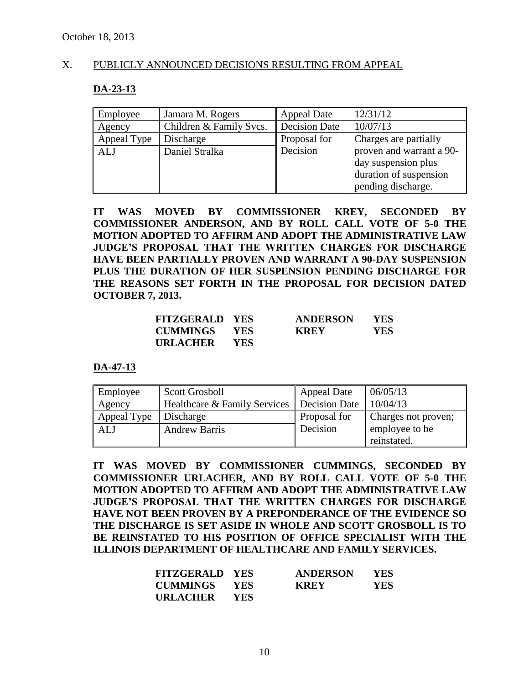#### X. PUBLICLY ANNOUNCED DECISIONS RESULTING FROM APPEAL

#### **DA-23-13**

| Employee    | Jamara M. Rogers        | <b>Appeal Date</b> | 12/31/12                 |
|-------------|-------------------------|--------------------|--------------------------|
| Agency      | Children & Family Svcs. | Decision Date      | 10/07/13                 |
| Appeal Type | Discharge               | Proposal for       | Charges are partially    |
| ALJ         | Daniel Stralka          | Decision           | proven and warrant a 90- |
|             |                         |                    | day suspension plus      |
|             |                         |                    | duration of suspension   |
|             |                         |                    | pending discharge.       |

**IT WAS MOVED BY COMMISSIONER KREY, SECONDED BY COMMISSIONER ANDERSON, AND BY ROLL CALL VOTE OF 5-0 THE MOTION ADOPTED TO AFFIRM AND ADOPT THE ADMINISTRATIVE LAW JUDGE'S PROPOSAL THAT THE WRITTEN CHARGES FOR DISCHARGE HAVE BEEN PARTIALLY PROVEN AND WARRANT A 90-DAY SUSPENSION PLUS THE DURATION OF HER SUSPENSION PENDING DISCHARGE FOR THE REASONS SET FORTH IN THE PROPOSAL FOR DECISION DATED OCTOBER 7, 2013.**

| <b>FITZGERALD YES</b> |            | <b>ANDERSON</b> | <b>YES</b> |
|-----------------------|------------|-----------------|------------|
| CUMMINGS              | YES        | <b>KREY</b>     | YES.       |
| <b>URLACHER</b>       | <b>YES</b> |                 |            |

#### **DA-47-13**

| Employee    | <b>Scott Grosboll</b>        | <b>Appeal Date</b>   | 06/05/13            |
|-------------|------------------------------|----------------------|---------------------|
| Agency      | Healthcare & Family Services | <b>Decision Date</b> | 10/04/13            |
| Appeal Type | Discharge                    | Proposal for         | Charges not proven; |
| ALJ         | <b>Andrew Barris</b>         | Decision             | employee to be      |
|             |                              |                      | reinstated.         |

**IT WAS MOVED BY COMMISSIONER CUMMINGS, SECONDED BY COMMISSIONER URLACHER, AND BY ROLL CALL VOTE OF 5-0 THE MOTION ADOPTED TO AFFIRM AND ADOPT THE ADMINISTRATIVE LAW JUDGE'S PROPOSAL THAT THE WRITTEN CHARGES FOR DISCHARGE HAVE NOT BEEN PROVEN BY A PREPONDERANCE OF THE EVIDENCE SO THE DISCHARGE IS SET ASIDE IN WHOLE AND SCOTT GROSBOLL IS TO BE REINSTATED TO HIS POSITION OF OFFICE SPECIALIST WITH THE ILLINOIS DEPARTMENT OF HEALTHCARE AND FAMILY SERVICES.**

| <b>FITZGERALD YES</b> |            | <b>ANDERSON</b> | <b>YES</b> |
|-----------------------|------------|-----------------|------------|
| CUMMINGS              | <b>YES</b> | <b>KREY</b>     | YES.       |
| <b>URLACHER</b>       | <b>YES</b> |                 |            |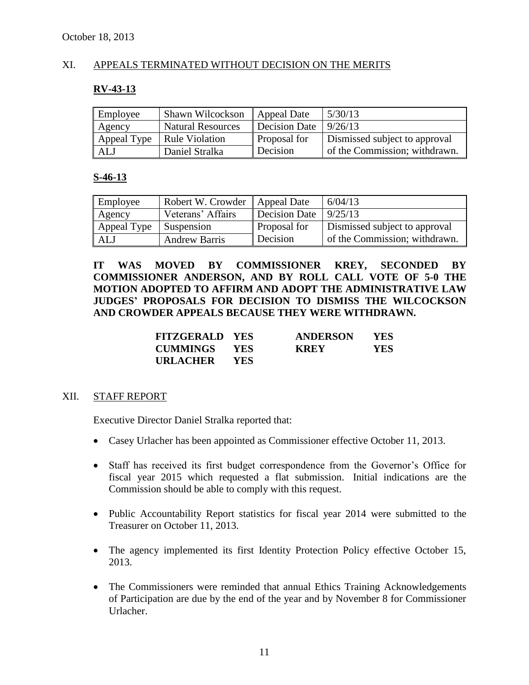# XI. APPEALS TERMINATED WITHOUT DECISION ON THE MERITS

#### **RV-43-13**

| Employee    | Shawn Wilcockson         | Appeal Date         | 5/30/13                       |
|-------------|--------------------------|---------------------|-------------------------------|
| Agency      | <b>Natural Resources</b> | Decision Date       | 9/26/13                       |
| Appeal Type | Rule Violation           | <b>Proposal for</b> | Dismissed subject to approval |
| ALJ         | Daniel Stralka           | Decision            | of the Commission; withdrawn. |

# **S-46-13**

| <b>Employee</b> | Robert W. Crowder   Appeal Date |                     | 6/04/13                       |
|-----------------|---------------------------------|---------------------|-------------------------------|
| Agency          | Veterans' Affairs               | Decision Date       | 9/25/13                       |
| Appeal Type     | <b>Suspension</b>               | <b>Proposal for</b> | Dismissed subject to approval |
| ALJ             | <b>Andrew Barris</b>            | Decision            | of the Commission; withdrawn. |

**IT WAS MOVED BY COMMISSIONER KREY, SECONDED BY COMMISSIONER ANDERSON, AND BY ROLL CALL VOTE OF 5-0 THE MOTION ADOPTED TO AFFIRM AND ADOPT THE ADMINISTRATIVE LAW JUDGES' PROPOSALS FOR DECISION TO DISMISS THE WILCOCKSON AND CROWDER APPEALS BECAUSE THEY WERE WITHDRAWN.**

| <b>FITZGERALD YES</b> |            | <b>ANDERSON</b> | <b>YES</b> |
|-----------------------|------------|-----------------|------------|
| <b>CUMMINGS YES</b>   |            | <b>KREY</b>     | YES        |
| URLACHER              | <b>YES</b> |                 |            |

#### XII. STAFF REPORT

Executive Director Daniel Stralka reported that:

- Casey Urlacher has been appointed as Commissioner effective October 11, 2013.
- Staff has received its first budget correspondence from the Governor's Office for fiscal year 2015 which requested a flat submission. Initial indications are the Commission should be able to comply with this request.
- Public Accountability Report statistics for fiscal year 2014 were submitted to the Treasurer on October 11, 2013.
- The agency implemented its first Identity Protection Policy effective October 15, 2013.
- The Commissioners were reminded that annual Ethics Training Acknowledgements of Participation are due by the end of the year and by November 8 for Commissioner Urlacher.